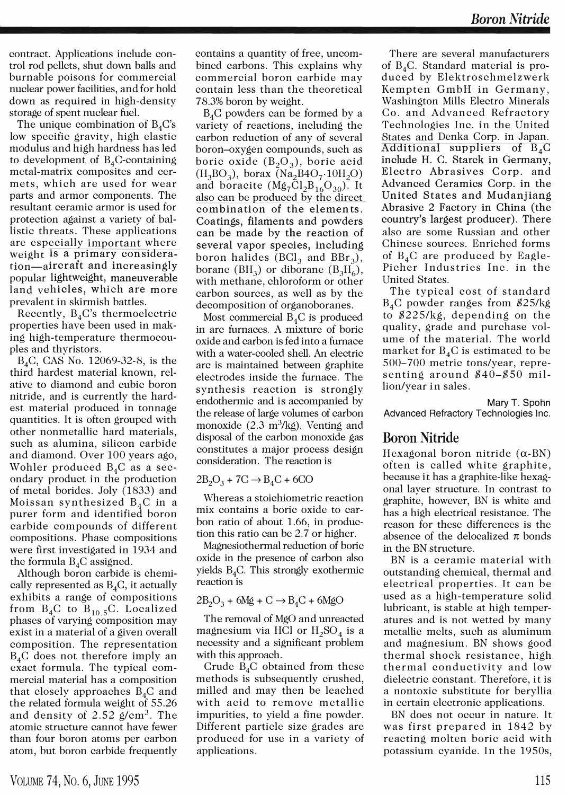contract. Applications include control rod pellets, shut down balls and burnable poisons for commercial nuclear power facilities, and for hold down as required in high-density storage of spent nuclear fuel.

The unique combination of  $B_4C$ 's low specific gravity, high elastic modulus and high hardness has led to development of  $B_4C$ -containing metal-matrix composites and cermets, which are used for wear parts and armor components. The resultant ceramic armor is used for protection against a variety of ballistic threats. These applications are especially important where weight is a primary consideration-aircraft and increasingly popular lightweight, maneuverable land vehicles, which are more prevalent in skirmish battles.

Recently,  $B_4C$ 's thermoelectric properties have been used in making high-temperature thermocouples and thyristors.

B4C, CAS No. 12069-32-8, is the third hardest material known, relative to diamond and cubic boron nitride, and is currently the hardest material produced in tonnage quantities. It is often grouped with other nonmetallic hard materials, such as alumina, silicon carbide and diamond. Over 100 years ago, Wohler produced  $B_4C$  as a secondary product in the production of metal borides. Joly (1833) and Moissan synthesized  $B_4C$  in a purer form and identified boron carbide compounds of different compositions. Phase compositions were first investigated in 1934 and the formula  $B_4C$  assigned.

Although boron carbide is chemically represented as  $B_4C$ , it actually exhibits a range of compositions from  $B_4C$  to  $B_{10.5}C$ . Localized phases of varying composition may exist in a material of a given overall composition. The representation  $B_4C$  does not therefore imply an exact formula. The typical commercial material has a composition that closely approaches  $B_4C$  and the related formula weight of 55.26 and density of  $2.52 \text{ g/cm}^3$ . The atomic structure cannot have fewer than four boron atoms per carbon atom, but boron carbide frequently

contains a quantity of free, uncombined carbons. This explains why commercial boron carbide may contain less than the theoretical 78.3% boron by weight.

 $B_4C$  powders can be formed by a variety of reactions, including the carbon reduction of any of several boron-oxygen compounds, such as boric oxide  $(B_2O_3)$ , boric acid  $(H_3BO_3)$ , borax (Na<sub>2</sub>B4O<sub>7</sub>·10H<sub>2</sub>O) and boracite  $(Mg_7Cl_2B_{16}O_{30})$ . It also can be produced by the direct com bination of the elements. Coatings, filaments and powders can be made by the reaction of several vapor species, including boron halides ( $BCl<sub>3</sub>$  and  $BBr<sub>3</sub>$ ), borane (BH<sub>3</sub>) or diborane (B<sub>3</sub>H<sub>6</sub>), with methane, chloroform or other carbon sources, as well as by the decomposition of organoboranes.

Most commercial  $B_4C$  is produced in arc furnaces. A mixture of boric oxide and carbon is fed into a furnace with a water-cooled shell. An electric arc is maintained between graphite electrodes inside the furnace. The synthesis reaction is strongly endothermic and is accompanied by the release of large volumes of carbon monoxide (2.3 m<sup>3</sup>/kg). Venting and disposal of the carbon monoxide gas constitutes a major process design consideration. The reaction is

 $2B_2O_3 + 7C \rightarrow B_4C + 6CO$ 

Whereas a stoichiometric reaction mix contains a boric oxide to carbon ratio of about 1.66, in production this ratio can be 2.7 or higher.

Magnesiothermal reduction of boric oxide in the presence of carbon also yields  $B_4C$ . This strongly exothermic reaction is

 $2B_2O_3$  + 6Mg + C  $\rightarrow$  B<sub>4</sub>C + 6MgO

The removal of MgO and unreacted magnesium via HCl or  $H_2SO_4$  is a necessity and a significant problem with this approach.

Crude  $B_4C$  obtained from these methods is subsequently crushed, milled and may then be leached with acid to remove metallic impurities, to yield a fine powder. Different particle size grades are produced for use in a variety of applications.

There are several manufacturers of B4C. Standard material is produced by Elektroschmelzwerk Kempten GmbH in Germany, Washington Mills Electro Minerals Co. and Advanced Refractory Technologies Inc. in the United States and Denka Corp. in Japan. Additional suppliers of  $B_4C$ include H. C. Starck in Germany, Electro Abrasives Corp. and Advanced Ceramics Corp. in the United States and Mudanjiang Abrasive 2 Factory in China (the country's largest producer). There also are some Russian and other Chinese sources. Enriched forms of  $B_4C$  are produced by Eagle-Picher Industries Inc. in the United States.

The typical cost of standard B4C powder ranges from \$25/kg to \$225/kg, depending on the quality, grade and purchase volume of the material. The world market for  $B_4C$  is estimated to be 500-700 metric tons/year, representing around \$40-\$50 million/year in sales.

Mary T. Spohn Advanced Refractory Technologies Inc.

## Boron Nitride

Hexagonal boron nitride  $(\alpha$ -BN) often is called white graphite, because it has a graphite-like hexagonal layer structure. In contrast to graphite, however, BN is white and has a high electrical resistance. The reason for these differences is the absence of the delocalized  $\pi$  bonds in the BN structure.

BN is a ceramic material with outstanding chemical, thermal and electrical properties. It can be used as a high-temperature solid lubricant, is stable at high temperatures and is not wetted by many metallic melts, such as aluminum and magnesium. BN shows good thermal shock resistance, high thermal conductivity and low dielectric constant. Therefore, it is a nontoxic substitute for beryllia in certain electronic applications.

BN does not occur in nature. It was first prepared in 1842 by reacting molten boric acid with potassium cyanide. In the 1950s,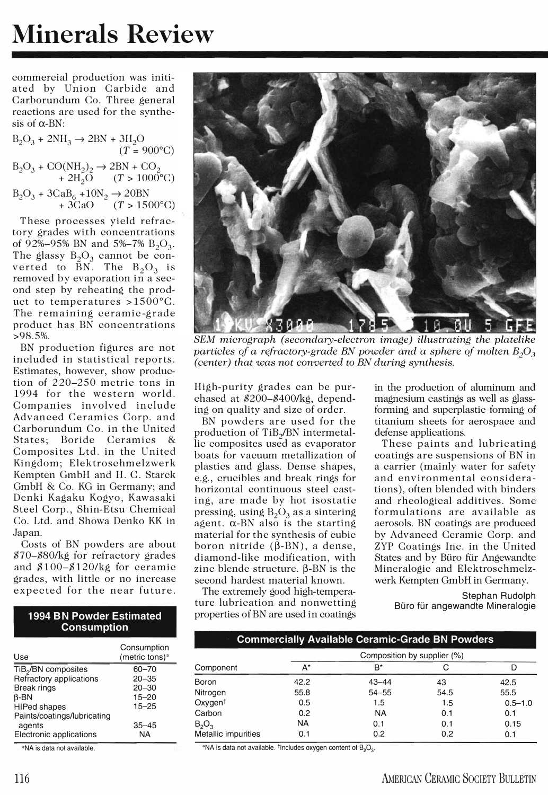## Minerals Review

commercial production was initiated by Union Carbide and Carborundum Co. Three general reactions are used for the synthesis of  $\alpha$ -BN·

$$
B_2O_3 + 2NH_3 \rightarrow 2BN + 3H_2O
$$
  
(*T* = 900°C)  

$$
B_2O_3 + CO(NH_2)_2 \rightarrow 2BN + CO_2
$$
  
+ 2H<sub>2</sub>O (*T* > 1000°C)  

$$
B_2O_3 + 3CaB_6 + 10N_2 \rightarrow 20BN
$$
  
+ 3CaO (*T* > 1500°C)

These processes yield refractory grades with concentrations of 92%-95% BN and 5%-7%  $B_2O_3$ . The glassy  $B_2O_3$  cannot be converted to  $\bar{B}N$ . The  $B_2O_3$  is removed by evaporation in a second step by reheating the product to temperatures >1500°C. The remaining ceramic-grade product has BN concentrations >98.5%.

BN production figures are not included in statistical reports. Estimates, however, show production of 220-250 metric tons in 1994 for the western world. Companies involved include Advanced Ceramics Corp. and Carborundum Co. in the United States; Boride Ceramics & Composites Ltd. in the United Kingdom; Elektroschmelzwerk Kempten GmbH and H. C. Starck GmbH & Co. KG in Germany; and Denki Kagaku Kogyo, Kawasaki Steel Corp., Shin-Etsu Chemical Co. Ltd. and Showa Denko KK in Japan.

Costs of BN powders are about \$70-\$80/kg for refractory grades and \$100-\$120/kg for ceramic grades, with little or no increase expected for the near future.

## 1994 BN Powder Estimated **Consumption**

| Use                             | Consumption<br>(metric tons)* |
|---------------------------------|-------------------------------|
| TiB <sub>2</sub> /BN composites | 60-70                         |
| Refractory applications         | $20 - 35$                     |
| <b>Break rings</b>              | $20 - 30$                     |
| $\beta$ -BN                     | $15 - 20$                     |
| <b>HIPed shapes</b>             | $15 - 25$                     |
| Paints/coatings/lubricating     |                               |
| agents                          | $35 - 45$                     |
| Electronic applications         | NA                            |

"NA is data not available.



SEM micrograph (secondary-electron image) illustrating the platelike particles of a refractory-grade BN powder and a sphere of molten  $B_2O_3$ (center) that was not converted to BN during synthesis.

High-purity grades can be purchased at \$200-\$400/kg, depending on quality and size of order.

BN powders are used for the production of TiB<sub>2</sub>/BN intermetallic composites used as evaporator boats for vacuum metallization of plastics and glass. Dense shapes, e.g., crucibles and break rings for horizontal continuous steel casting, are made by hot isostatic pressing, using  $B_2O_3$  as a sintering agent.  $\alpha$ -BN also is the starting material for the synthesis of cubic boron nitride  $(\beta$ -BN), a dense, diamond-like modification, with zinc blende structure.  $\beta$ -BN is the second hardest material known.

The extremely good high-temperature lubrication and nonwetting properties of BN are used in coatings

in the production of aluminum and magnesium castings as well as glassforming and superplastic forming of titanium sheets for aerospace and defense applications.

These paints and lubricating coatings are suspensions of BN in a carrier (mainly water for safety and environmental considerations), often blended with binders and rheological additives. Some formulations are available as aerosols. BN coatings are produced by Advanced Ceramic Corp. and ZYP Coatings Inc. in the United States and by Büro für Angewandte Mineralogie and Elektroschmelzwerk Kempten GmbH in Germany.

> Stephan Rudolph Büro für angewandte Mineralogie

|  |  | Commercially Available Ceramic-Grade BN Powders |
|--|--|-------------------------------------------------|
|--|--|-------------------------------------------------|

| Component           | Composition by supplier (%) |           |      |             |
|---------------------|-----------------------------|-----------|------|-------------|
|                     | A*                          | $B^*$     |      |             |
| Boron               | 42.2                        | $43 - 44$ | 43   | 42.5        |
| Nitrogen            | 55.8                        | $54 - 55$ | 54.5 | 55.5        |
| $Oxygen^{\dagger}$  | 0.5                         | 1.5       | 1.5  | $0.5 - 1.0$ |
| Carbon              | 0.2                         | <b>NA</b> | 0.1  | 0.1         |
| $B_2O_3$            | NA                          | 0.1       | 0.1  | 0.15        |
| Metallic impurities | 0.1                         | 0.2       | 0.2  | 0.1         |

\*NA is data not available.  $\dagger$ Includes oxygen content of  $B_2O_3$ .